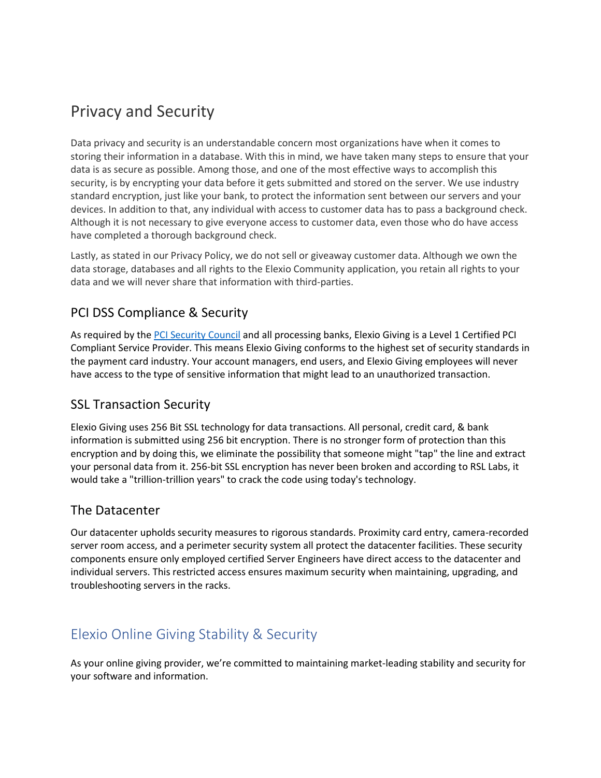# Privacy and Security

Data privacy and security is an understandable concern most organizations have when it comes to storing their information in a database. With this in mind, we have taken many steps to ensure that your data is as secure as possible. Among those, and one of the most effective ways to accomplish this security, is by encrypting your data before it gets submitted and stored on the server. We use industry standard encryption, just like your bank, to protect the information sent between our servers and your devices. In addition to that, any individual with access to customer data has to pass a background check. Although it is not necessary to give everyone access to customer data, even those who do have access have completed a thorough background check.

Lastly, as stated in our Privacy Policy, we do not sell or giveaway customer data. Although we own the data storage, databases and all rights to the Elexio Community application, you retain all rights to your data and we will never share that information with third-parties.

### PCI DSS Compliance & Security

As required by the [PCI Security Council](https://protect-us.mimecast.com/s/hUPECkRKN6sgZqAf252P-?domain=pcisecuritystandards.org) and all processing banks, Elexio Giving is a Level 1 Certified PCI Compliant Service Provider. This means Elexio Giving conforms to the highest set of security standards in the payment card industry. Your account managers, end users, and Elexio Giving employees will never have access to the type of sensitive information that might lead to an unauthorized transaction.

#### SSL Transaction Security

Elexio Giving uses 256 Bit SSL technology for data transactions. All personal, credit card, & bank information is submitted using 256 bit encryption. There is no stronger form of protection than this encryption and by doing this, we eliminate the possibility that someone might "tap" the line and extract your personal data from it. 256-bit SSL encryption has never been broken and according to RSL Labs, it would take a "trillion-trillion years" to crack the code using today's technology.

#### The Datacenter

Our datacenter upholds security measures to rigorous standards. Proximity card entry, camera-recorded server room access, and a perimeter security system all protect the datacenter facilities. These security components ensure only employed certified Server Engineers have direct access to the datacenter and individual servers. This restricted access ensures maximum security when maintaining, upgrading, and troubleshooting servers in the racks.

## Elexio Online Giving Stability & Security

As your online giving provider, we're committed to maintaining market-leading stability and security for your software and information.